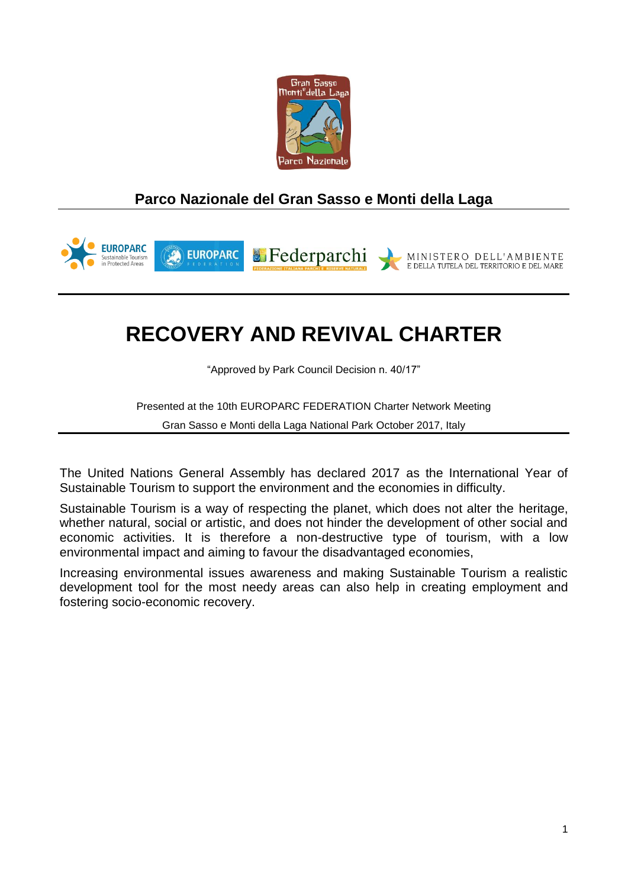

## **Parco Nazionale del Gran Sasso e Monti della Laga**



# **RECOVERY AND REVIVAL CHARTER**

"Approved by Park Council Decision n. 40/17"

Presented at the 10th EUROPARC FEDERATION Charter Network Meeting

Gran Sasso e Monti della Laga National Park October 2017, Italy

The United Nations General Assembly has declared 2017 as the International Year of Sustainable Tourism to support the environment and the economies in difficulty.

Sustainable Tourism is a way of respecting the planet, which does not alter the heritage, whether natural, social or artistic, and does not hinder the development of other social and economic activities. It is therefore a non-destructive type of tourism, with a low environmental impact and aiming to favour the disadvantaged economies,

Increasing environmental issues awareness and making Sustainable Tourism a realistic development tool for the most needy areas can also help in creating employment and fostering socio-economic recovery.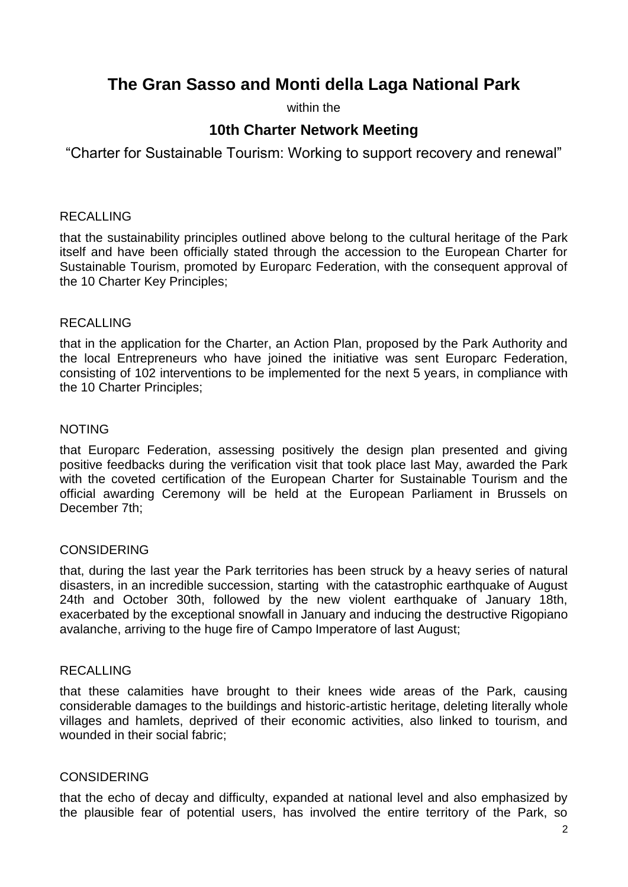## **The Gran Sasso and Monti della Laga National Park**

within the

### **10th Charter Network Meeting**

"Charter for Sustainable Tourism: Working to support recovery and renewal"

#### RECALLING

that the sustainability principles outlined above belong to the cultural heritage of the Park itself and have been officially stated through the accession to the European Charter for Sustainable Tourism, promoted by Europarc Federation, with the consequent approval of the 10 Charter Key Principles;

#### RECALLING

that in the application for the Charter, an Action Plan, proposed by the Park Authority and the local Entrepreneurs who have joined the initiative was sent Europarc Federation, consisting of 102 interventions to be implemented for the next 5 years, in compliance with the 10 Charter Principles;

#### NOTING

that Europarc Federation, assessing positively the design plan presented and giving positive feedbacks during the verification visit that took place last May, awarded the Park with the coveted certification of the European Charter for Sustainable Tourism and the official awarding Ceremony will be held at the European Parliament in Brussels on December 7th;

#### CONSIDERING

that, during the last year the Park territories has been struck by a heavy series of natural disasters, in an incredible succession, starting with the catastrophic earthquake of August 24th and October 30th, followed by the new violent earthquake of January 18th, exacerbated by the exceptional snowfall in January and inducing the destructive Rigopiano avalanche, arriving to the huge fire of Campo Imperatore of last August;

#### RECALLING

that these calamities have brought to their knees wide areas of the Park, causing considerable damages to the buildings and historic-artistic heritage, deleting literally whole villages and hamlets, deprived of their economic activities, also linked to tourism, and wounded in their social fabric;

#### CONSIDERING

that the echo of decay and difficulty, expanded at national level and also emphasized by the plausible fear of potential users, has involved the entire territory of the Park, so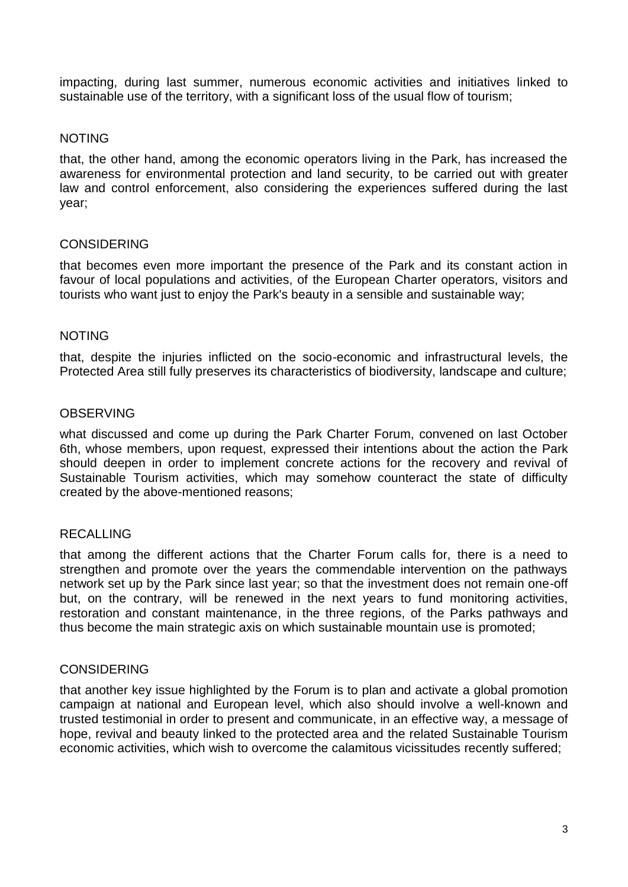impacting, during last summer, numerous economic activities and initiatives linked to sustainable use of the territory, with a significant loss of the usual flow of tourism;

#### NOTING

that, the other hand, among the economic operators living in the Park, has increased the awareness for environmental protection and land security, to be carried out with greater law and control enforcement, also considering the experiences suffered during the last year;

#### CONSIDERING

that becomes even more important the presence of the Park and its constant action in favour of local populations and activities, of the European Charter operators, visitors and tourists who want just to enjoy the Park's beauty in a sensible and sustainable way;

#### NOTING

that, despite the injuries inflicted on the socio-economic and infrastructural levels, the Protected Area still fully preserves its characteristics of biodiversity, landscape and culture;

#### **OBSERVING**

what discussed and come up during the Park Charter Forum, convened on last October 6th, whose members, upon request, expressed their intentions about the action the Park should deepen in order to implement concrete actions for the recovery and revival of Sustainable Tourism activities, which may somehow counteract the state of difficulty created by the above-mentioned reasons;

#### RECALLING

that among the different actions that the Charter Forum calls for, there is a need to strengthen and promote over the years the commendable intervention on the pathways network set up by the Park since last year; so that the investment does not remain one-off but, on the contrary, will be renewed in the next years to fund monitoring activities, restoration and constant maintenance, in the three regions, of the Parks pathways and thus become the main strategic axis on which sustainable mountain use is promoted;

#### **CONSIDERING**

that another key issue highlighted by the Forum is to plan and activate a global promotion campaign at national and European level, which also should involve a well-known and trusted testimonial in order to present and communicate, in an effective way, a message of hope, revival and beauty linked to the protected area and the related Sustainable Tourism economic activities, which wish to overcome the calamitous vicissitudes recently suffered;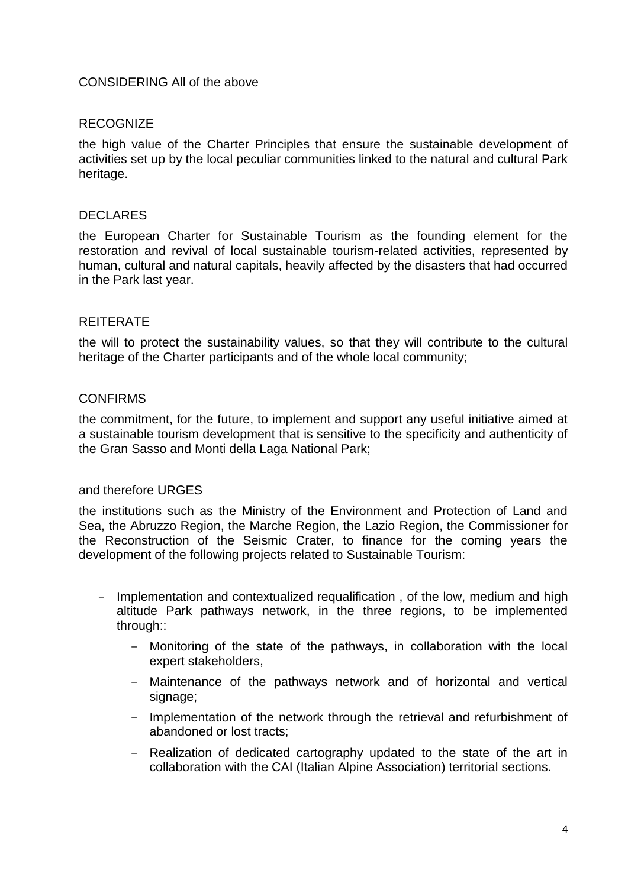#### CONSIDERING All of the above

#### RECOGNIZE

the high value of the Charter Principles that ensure the sustainable development of activities set up by the local peculiar communities linked to the natural and cultural Park heritage.

#### DECLARES

the European Charter for Sustainable Tourism as the founding element for the restoration and revival of local sustainable tourism-related activities, represented by human, cultural and natural capitals, heavily affected by the disasters that had occurred in the Park last year.

#### REITERATE

the will to protect the sustainability values, so that they will contribute to the cultural heritage of the Charter participants and of the whole local community;

#### CONFIRMS

the commitment, for the future, to implement and support any useful initiative aimed at a sustainable tourism development that is sensitive to the specificity and authenticity of the Gran Sasso and Monti della Laga National Park;

#### and therefore URGES

the institutions such as the Ministry of the Environment and Protection of Land and Sea, the Abruzzo Region, the Marche Region, the Lazio Region, the Commissioner for the Reconstruction of the Seismic Crater, to finance for the coming years the development of the following projects related to Sustainable Tourism:

- Implementation and contextualized requalification, of the low, medium and high altitude Park pathways network, in the three regions, to be implemented through::
	- Monitoring of the state of the pathways, in collaboration with the local expert stakeholders,
	- Maintenance of the pathways network and of horizontal and vertical signage;
	- Implementation of the network through the retrieval and refurbishment of abandoned or lost tracts;
	- Realization of dedicated cartography updated to the state of the art in collaboration with the CAI (Italian Alpine Association) territorial sections.